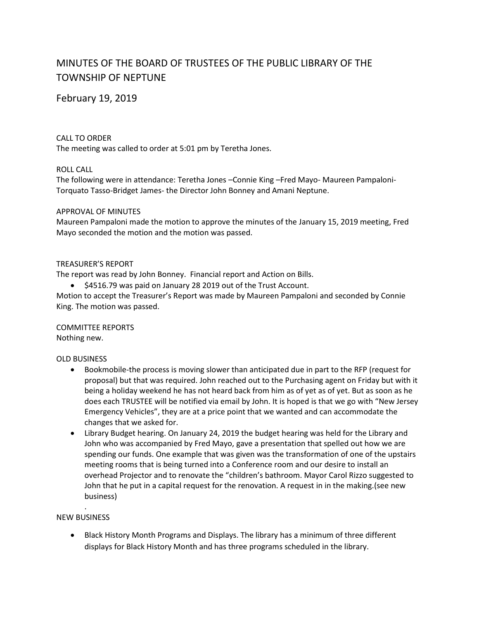# MINUTES OF THE BOARD OF TRUSTEES OF THE PUBLIC LIBRARY OF THE TOWNSHIP OF NEPTUNE

# February 19, 2019

## CALL TO ORDER

The meeting was called to order at 5:01 pm by Teretha Jones.

#### ROLL CALL

The following were in attendance: Teretha Jones –Connie King –Fred Mayo- Maureen Pampaloni-Torquato Tasso-Bridget James- the Director John Bonney and Amani Neptune.

#### APPROVAL OF MINUTES

Maureen Pampaloni made the motion to approve the minutes of the January 15, 2019 meeting, Fred Mayo seconded the motion and the motion was passed.

#### TREASURER'S REPORT

The report was read by John Bonney. Financial report and Action on Bills.

• \$4516.79 was paid on January 28 2019 out of the Trust Account.

Motion to accept the Treasurer's Report was made by Maureen Pampaloni and seconded by Connie King. The motion was passed.

COMMITTEE REPORTS Nothing new.

#### OLD BUSINESS

- Bookmobile-the process is moving slower than anticipated due in part to the RFP (request for proposal) but that was required. John reached out to the Purchasing agent on Friday but with it being a holiday weekend he has not heard back from him as of yet as of yet. But as soon as he does each TRUSTEE will be notified via email by John. It is hoped is that we go with "New Jersey Emergency Vehicles", they are at a price point that we wanted and can accommodate the changes that we asked for.
- Library Budget hearing. On January 24, 2019 the budget hearing was held for the Library and John who was accompanied by Fred Mayo, gave a presentation that spelled out how we are spending our funds. One example that was given was the transformation of one of the upstairs meeting rooms that is being turned into a Conference room and our desire to install an overhead Projector and to renovate the "children's bathroom. Mayor Carol Rizzo suggested to John that he put in a capital request for the renovation. A request in in the making.(see new business)

#### . NEW BUSINESS

 Black History Month Programs and Displays. The library has a minimum of three different displays for Black History Month and has three programs scheduled in the library.